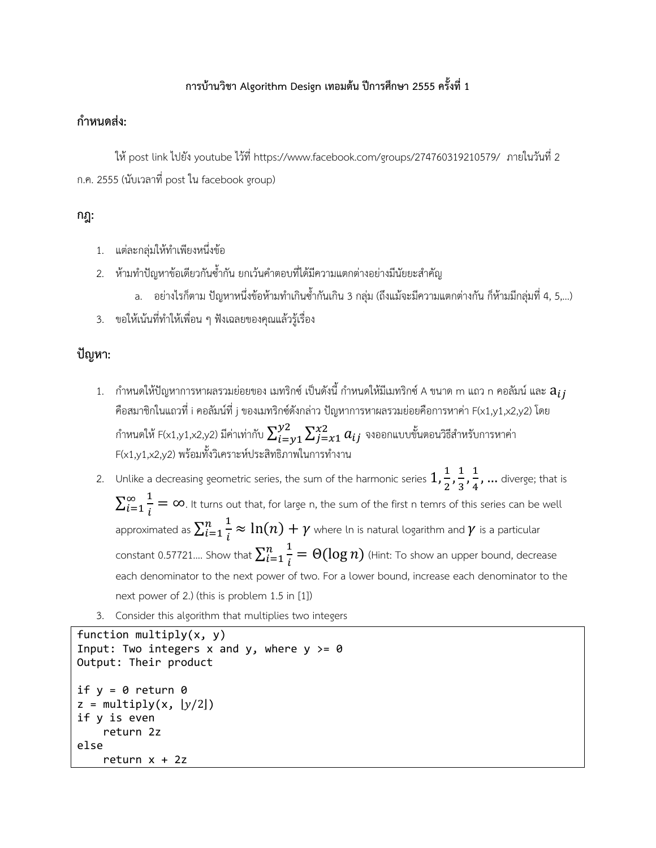# **การบ้านวิชา Algorithm Design เทอมต้น ปีการศึกษา 2555 ครั้งที่ 1**

## **กําหนดส่ง:**

ให้ post link ไปยัง youtube ไว้ที่ https://www.facebook.com/groups/274760319210579/ ภายในวันที่ 2 ก.ค. 2555 (นับเวลาที่ post ใน facebook group)

### **กฎ:**

- 1. แต่ละกลุ่มให้ทําเพียงหนึ่งข้อ
- 2. ห้ามทําปัญหาข้อเดียวกันซ้ํากัน ยกเว้นคําตอบที่ได้มีความแตกต่างอย่างมีนัยยะสําคัญ
	- a. อย่างไรก็ตาม ปัญหาหนึ่งข้อห้ามทําเกินซ้ํากันเกิน 3 กลุ่ม (ถึงแม้จะมีความแตกต่างกัน ก็ห้ามมีกลุ่มที่ 4, 5,…)
- 3. ขอให้เน้นที่ทําให้เพื่อน ๆ ฟังเฉลยของคุณแล้วรู้เรื่อง

# **ปัญหา:**

- 1.  $\,$  กำหนดให้ปัญหาการหาผลรวมย่อยของ เมทริกซ์ เป็นดังนี้ กำหนดให้มีเมทริกซ์ A ขนาด m แถว n คอลัมน์ และ  $a_{ii}$ คือสมาชิกในแถวที่ i คอลัมน์ที่ j ของเมทริกซ์ดังกล่าว ปัญหาการหาผลรวมย่อยคือการหาค่า F(x1,y1,x2,y2) โดย กำหนดให้ F(x1,y1,x2,y2) มีค่าเท่ากับ  $\sum_{i=\nu}^{\nu 2}\sum_{j=x1}^{\chi 2}a_{ij}$  $j = x1$  $_{i=y1}^{y2}\sum_{j=x1}^{x2}a_{ij}$  จงออกแบบขั้นตอนวิธีสำหรับการหาค่า F(x1,y1,x2,y2) พร้อมทั้งวิเคราะห์ประสิทธิภาพในการทํางาน
- 2. Unlike a decreasing geometric series, the sum of the harmonic series  $1,\frac{1}{2},\frac{1}{3},\frac{1}{4},...$  diverge; that is  $\sum_{i=1}^{\infty} \frac{1}{i}$  $\frac{\infty}{i=1}$   $\frac{1}{i} = \infty$ . It turns out that, for large n, the sum of the first n temrs of this series can be well approximated as  $\sum_{i=1}^n \frac{1}{i}$  $\frac{n}{i=1}\frac{1}{i}\approx \ln(n)+\gamma$  where ln is natural logarithm and  $\gamma$  is a particular constant 0.57721.... Show that  $\sum_{i=1}^n \frac{1}{i}$  $\frac{n}{i=1}\frac{1}{i}=\Theta(\log n)$  (Hint: To show an upper bound, decrease each denominator to the next power of two. For a lower bound, increase each denominator to the next power of 2.) (this is problem 1.5 in [1])
- 3. Consider this algorithm that multiplies two integers

```
function multiply(x, y)
Input: Two integers x and y, where y \ge 0Output: Their product
if y = 0 return \thetaz = \text{multiply}(x, \lfloor y/2 \rfloor)if y is even
        return 2z
else
         return x + 2z
```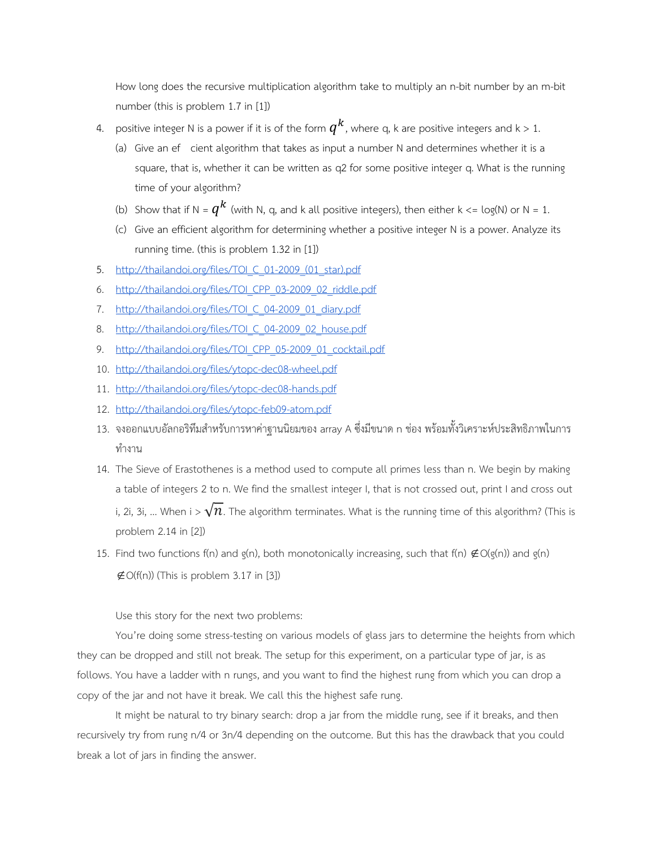How long does the recursive multiplication algorithm take to multiply an n-bit number by an m-bit number (this is problem 1.7 in [1])

- 4. positive integer N is a power if it is of the form  $q^k$ , where q, k are positive integers and k > 1.
	- (a) Give an ef cient algorithm that takes as input a number N and determines whether it is a square, that is, whether it can be written as q2 for some positive integer q. What is the running time of your algorithm?
	- (b) Show that if N =  $q^k$  (with N, q, and k all positive integers), then either k <= log(N) or N = 1.
	- (c) Give an efficient algorithm for determining whether a positive integer N is a power. Analyze its running time. (this is problem 1.32 in [1])
- 5. http://thailandoi.org/files/TOI\_C\_01-2009\_(01\_star).pdf
- 6. http://thailandoi.org/files/TOI\_CPP\_03-2009\_02\_riddle.pdf
- 7. http://thailandoi.org/files/TOI\_C\_04-2009\_01\_diary.pdf
- 8. http://thailandoi.org/files/TOI\_C\_04-2009\_02\_house.pdf
- 9. http://thailandoi.org/files/TOI\_CPP\_05-2009\_01\_cocktail.pdf
- 10. http://thailandoi.org/files/ytopc-dec08-wheel.pdf
- 11. http://thailandoi.org/files/ytopc-dec08-hands.pdf
- 12. http://thailandoi.org/files/ytopc-feb09-atom.pdf
- 13. จงออกแบบอัลกอริทึมสําหรับการหาค่าฐานนิยมของ array A ซึ่งมีขนาด n ช่อง พร้อมทั้งวิเคราะห์ประสิทธิภาพในการ ทํางาน
- 14. The Sieve of Erastothenes is a method used to compute all primes less than n. We begin by making a table of integers 2 to n. We find the smallest integer I, that is not crossed out, print I and cross out i, 2i, 3i, ... When i >  $\sqrt{n}$ . The algorithm terminates. What is the running time of this algorithm? (This is problem 2.14 in [2])
- 15. Find two functions f(n) and g(n), both monotonically increasing, such that f(n)  $\notin O(q(n))$  and g(n)  $\notin$  O(f(n)) (This is problem 3.17 in [3])

Use this story for the next two problems:

You're doing some stress-testing on various models of glass jars to determine the heights from which they can be dropped and still not break. The setup for this experiment, on a particular type of jar, is as follows. You have a ladder with n rungs, and you want to find the highest rung from which you can drop a copy of the jar and not have it break. We call this the highest safe rung.

It might be natural to try binary search: drop a jar from the middle rung, see if it breaks, and then recursively try from rung n/4 or 3n/4 depending on the outcome. But this has the drawback that you could break a lot of jars in finding the answer.